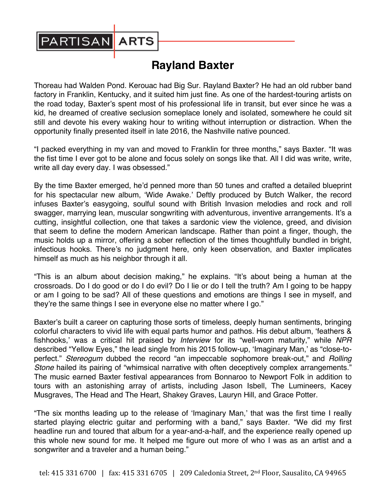

## **Rayland Baxter**

Thoreau had Walden Pond. Kerouac had Big Sur. Rayland Baxter? He had an old rubber band factory in Franklin, Kentucky, and it suited him just fine. As one of the hardest-touring artists on the road today, Baxter's spent most of his professional life in transit, but ever since he was a kid, he dreamed of creative seclusion someplace lonely and isolated, somewhere he could sit still and devote his every waking hour to writing without interruption or distraction. When the opportunity finally presented itself in late 2016, the Nashville native pounced.

"I packed everything in my van and moved to Franklin for three months," says Baxter. "It was the fist time I ever got to be alone and focus solely on songs like that. All I did was write, write, write all day every day. I was obsessed."

By the time Baxter emerged, he'd penned more than 50 tunes and crafted a detailed blueprint for his spectacular new album, 'Wide Awake.' Deftly produced by Butch Walker, the record infuses Baxter's easygoing, soulful sound with British Invasion melodies and rock and roll swagger, marrying lean, muscular songwriting with adventurous, inventive arrangements. It's a cutting, insightful collection, one that takes a sardonic view the violence, greed, and division that seem to define the modern American landscape. Rather than point a finger, though, the music holds up a mirror, offering a sober reflection of the times thoughtfully bundled in bright, infectious hooks. There's no judgment here, only keen observation, and Baxter implicates himself as much as his neighbor through it all.

"This is an album about decision making," he explains. "It's about being a human at the crossroads. Do I do good or do I do evil? Do I lie or do I tell the truth? Am I going to be happy or am I going to be sad? All of these questions and emotions are things I see in myself, and they're the same things I see in everyone else no matter where I go."

Baxter's built a career on capturing those sorts of timeless, deeply human sentiments, bringing colorful characters to vivid life with equal parts humor and pathos. His debut album, 'feathers & fishhooks,' was a critical hit praised by *Interview* for its "well-worn maturity," while *NPR*  described "Yellow Eyes," the lead single from his 2015 follow-up, 'Imaginary Man,' as "close-toperfect." *Stereogum* dubbed the record "an impeccable sophomore break-out," and *Rolling Stone* hailed its pairing of "whimsical narrative with often deceptively complex arrangements." The music earned Baxter festival appearances from Bonnaroo to Newport Folk in addition to tours with an astonishing array of artists, including Jason Isbell, The Lumineers, Kacey Musgraves, The Head and The Heart, Shakey Graves, Lauryn Hill, and Grace Potter.

"The six months leading up to the release of 'Imaginary Man,' that was the first time I really started playing electric guitar and performing with a band," says Baxter. "We did my first headline run and toured that album for a year-and-a-half, and the experience really opened up this whole new sound for me. It helped me figure out more of who I was as an artist and a songwriter and a traveler and a human being."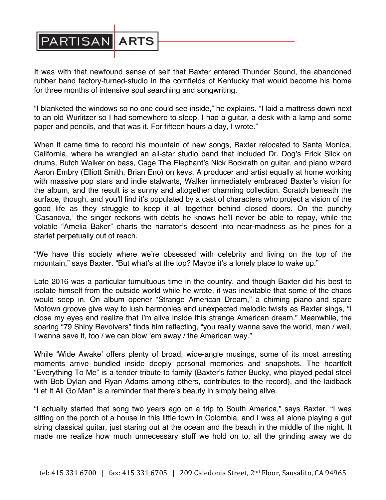

It was with that newfound sense of self that Baxter entered Thunder Sound, the abandoned rubber band factory-turned-studio in the cornfields of Kentucky that would become his home for three months of intensive soul searching and songwriting.

"I blanketed the windows so no one could see inside," he explains. "I laid a mattress down next to an old Wurlitzer so I had somewhere to sleep. I had a guitar, a desk with a lamp and some paper and pencils, and that was it. For fifteen hours a day, I wrote."

When it came time to record his mountain of new songs, Baxter relocated to Santa Monica, California, where he wrangled an all-star studio band that included Dr. Dog's Erick Slick on drums, Butch Walker on bass, Cage The Elephant's Nick Bockrath on guitar, and piano wizard Aaron Embry (Elliott Smith, Brian Eno) on keys. A producer and artist equally at home working with massive pop stars and indie stalwarts, Walker immediately embraced Baxter's vision for the album, and the result is a sunny and altogether charming collection. Scratch beneath the surface, though, and you'll find it's populated by a cast of characters who project a vision of the good life as they struggle to keep it all together behind closed doors. On the punchy 'Casanova,' the singer reckons with debts he knows he'll never be able to repay, while the volatile "Amelia Baker" charts the narrator's descent into near-madness as he pines for a starlet perpetually out of reach.

"We have this society where we're obsessed with celebrity and living on the top of the mountain," says Baxter. "But what's at the top? Maybe it's a lonely place to wake up."

Late 2016 was a particular tumultuous time in the country, and though Baxter did his best to isolate himself from the outside world while he wrote, it was inevitable that some of the chaos would seep in. On album opener "Strange American Dream," a chiming piano and spare Motown groove give way to lush harmonies and unexpected melodic twists as Baxter sings, "I close my eyes and realize that I'm alive inside this strange American dream." Meanwhile, the soaring "79 Shiny Revolvers" finds him reflecting, "you really wanna save the world, man / well, I wanna save it, too / we can blow 'em away / the American way."

While 'Wide Awake' offers plenty of broad, wide-angle musings, some of its most arresting moments arrive bundled inside deeply personal memories and snapshots. The heartfelt "Everything To Me" is a tender tribute to family (Baxter's father Bucky, who played pedal steel with Bob Dylan and Ryan Adams among others, contributes to the record), and the laidback "Let It All Go Man" is a reminder that there's beauty in simply being alive.

"I actually started that song two years ago on a trip to South America," says Baxter. "I was sitting on the porch of a house in this little town in Colombia, and I was all alone playing a gut string classical guitar, just staring out at the ocean and the beach in the middle of the night. It made me realize how much unnecessary stuff we hold on to, all the grinding away we do